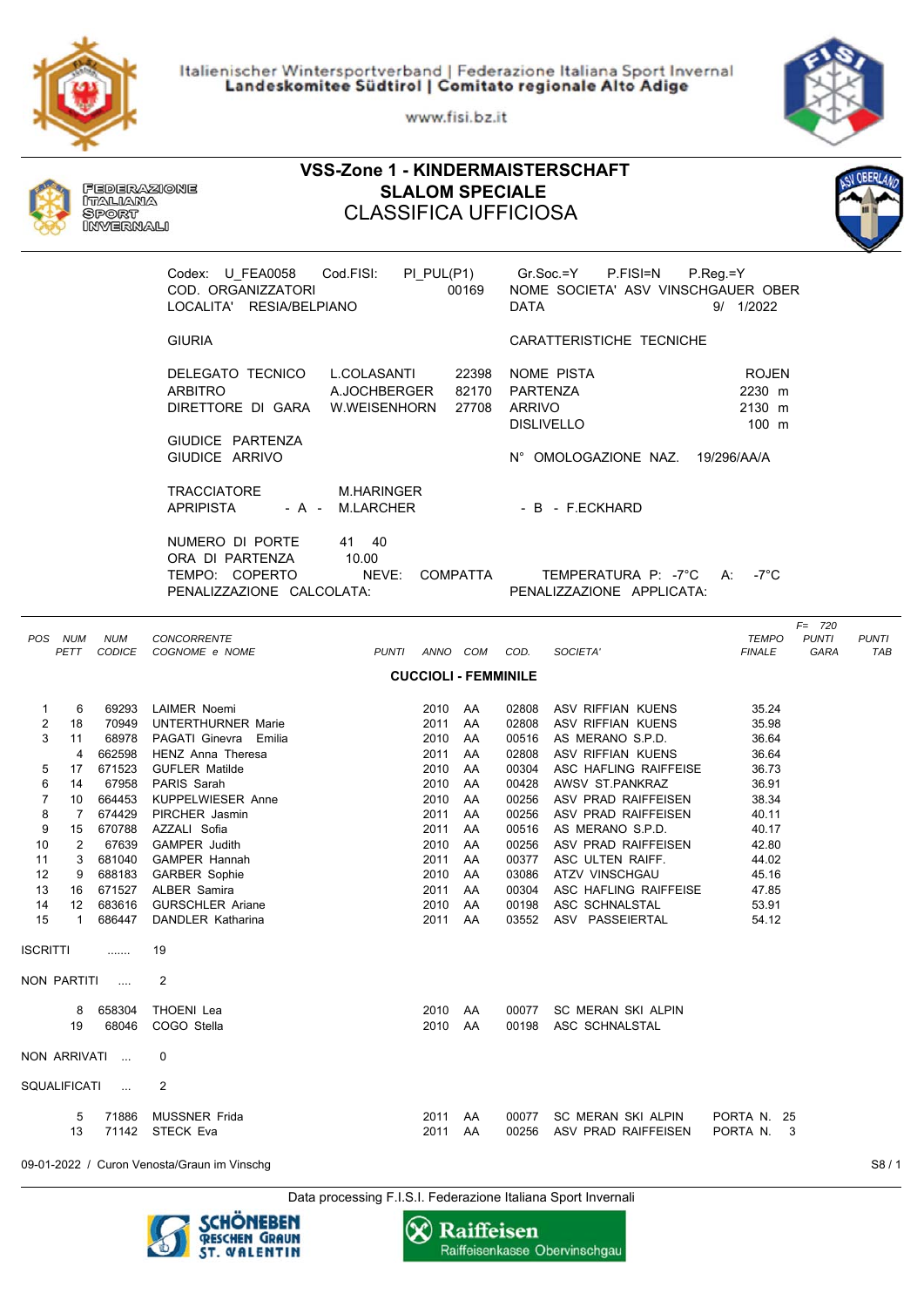Italienischer Wintersportverband | Federazione Italiana Sport Invernal<br>Landeskomitee Südtirol | Comitato regionale Alto Adige

www.fisi.bz.it



| <b>VSS-Zone 1 - KINDERMAISTERSCHAFT</b>                                                                                                                                                                                                                                                                               |                                                                                                                                                                                                                                                                                                                                                   |                                                                                                                                                 |                                                                                                                   |                                                                                                                                                                                                                                                                                                                                                              |                                                                                                                                     |  |  |  |
|-----------------------------------------------------------------------------------------------------------------------------------------------------------------------------------------------------------------------------------------------------------------------------------------------------------------------|---------------------------------------------------------------------------------------------------------------------------------------------------------------------------------------------------------------------------------------------------------------------------------------------------------------------------------------------------|-------------------------------------------------------------------------------------------------------------------------------------------------|-------------------------------------------------------------------------------------------------------------------|--------------------------------------------------------------------------------------------------------------------------------------------------------------------------------------------------------------------------------------------------------------------------------------------------------------------------------------------------------------|-------------------------------------------------------------------------------------------------------------------------------------|--|--|--|
| Federazione<br><b>SLALOM SPECIALE</b><br>ITALIANA<br><b>CLASSIFICA UFFICIOSA</b><br>Sport<br>INVERNALI                                                                                                                                                                                                                |                                                                                                                                                                                                                                                                                                                                                   |                                                                                                                                                 |                                                                                                                   |                                                                                                                                                                                                                                                                                                                                                              |                                                                                                                                     |  |  |  |
|                                                                                                                                                                                                                                                                                                                       | Cod.FISI:<br>Codex: U FEA0058<br>COD. ORGANIZZATORI<br>LOCALITA' RESIA/BELPIANO                                                                                                                                                                                                                                                                   | PI_PUL(P1)                                                                                                                                      | 00169<br><b>DATA</b>                                                                                              | Gr.Soc.=Y<br>P.FISI=N<br>NOME SOCIETA' ASV VINSCHGAUER OBER                                                                                                                                                                                                                                                                                                  | $P_{\cdot}$ Reg $=$ Y<br>9/ 1/2022                                                                                                  |  |  |  |
|                                                                                                                                                                                                                                                                                                                       | <b>GIURIA</b>                                                                                                                                                                                                                                                                                                                                     |                                                                                                                                                 |                                                                                                                   | CARATTERISTICHE TECNICHE                                                                                                                                                                                                                                                                                                                                     |                                                                                                                                     |  |  |  |
|                                                                                                                                                                                                                                                                                                                       | DELEGATO TECNICO<br><b>ARBITRO</b><br>DIRETTORE DI GARA W.WEISENHORN<br>GIUDICE PARTENZA                                                                                                                                                                                                                                                          | L.COLASANTI<br>A.JOCHBERGER                                                                                                                     | 22398<br>82170<br>27708                                                                                           | NOME PISTA<br>PARTENZA<br><b>ARRIVO</b><br><b>DISLIVELLO</b>                                                                                                                                                                                                                                                                                                 | <b>ROJEN</b><br>2230 m<br>2130 m<br>100 m                                                                                           |  |  |  |
|                                                                                                                                                                                                                                                                                                                       | GIUDICE ARRIVO                                                                                                                                                                                                                                                                                                                                    |                                                                                                                                                 |                                                                                                                   | N° OMOLOGAZIONE NAZ. 19/296/AA/A                                                                                                                                                                                                                                                                                                                             |                                                                                                                                     |  |  |  |
|                                                                                                                                                                                                                                                                                                                       | <b>TRACCIATORE</b><br><b>APRIPISTA</b><br>- A - M.LARCHER                                                                                                                                                                                                                                                                                         | M.HARINGER                                                                                                                                      |                                                                                                                   | - B - F.ECKHARD                                                                                                                                                                                                                                                                                                                                              |                                                                                                                                     |  |  |  |
|                                                                                                                                                                                                                                                                                                                       | NUMERO DI PORTE<br>ORA DI PARTENZA<br>TEMPO: COPERTO<br>PENALIZZAZIONE CALCOLATA:                                                                                                                                                                                                                                                                 | 41 40<br>10.00<br>NEVE:<br>COMPATTA                                                                                                             |                                                                                                                   | TEMPERATURA P: -7°C A:<br>PENALIZZAZIONE APPLICATA:                                                                                                                                                                                                                                                                                                          | -7°C                                                                                                                                |  |  |  |
| POS NUM<br><b>NUM</b>                                                                                                                                                                                                                                                                                                 | <b>CONCORRENTE</b><br>PETT CODICE COGNOME e NOME                                                                                                                                                                                                                                                                                                  | PUNTI ANNO COM COD.                                                                                                                             |                                                                                                                   | SOCIETA'                                                                                                                                                                                                                                                                                                                                                     | $F = 720$<br><b>TEMPO</b><br><b>PUNTI</b><br><b>PUNTI</b><br><b>FINALE</b><br><b>GARA</b><br>TAB                                    |  |  |  |
|                                                                                                                                                                                                                                                                                                                       |                                                                                                                                                                                                                                                                                                                                                   | <b>CUCCIOLI - FEMMINILE</b>                                                                                                                     |                                                                                                                   |                                                                                                                                                                                                                                                                                                                                                              |                                                                                                                                     |  |  |  |
| 1<br>6<br>2<br>70949<br>18<br>3<br>68978<br>11<br>662598<br>$\overline{4}$<br>671523<br>5<br>17<br>6<br>14<br>7<br>10<br>674429<br>8<br>$7\phantom{.}$<br>9<br>15<br>670788<br>2<br>67639<br>10<br>681040<br>11<br>3<br>12<br>688183<br>9<br>13<br>671527<br>16<br>14<br>683616<br>12<br>15<br>$\mathbf{1}$<br>686447 | 69293 LAIMER Noemi<br><b>UNTERTHURNER Marie</b><br>PAGATI Ginevra Emilia<br>HENZ Anna Theresa<br><b>GUFLER Matilde</b><br>67958 PARIS Sarah<br>664453 KUPPELWIESER Anne<br>PIRCHER Jasmin<br>AZZALI Sofia<br><b>GAMPER Judith</b><br><b>GAMPER Hannah</b><br><b>GARBER Sophie</b><br>ALBER Samira<br><b>GURSCHLER Ariane</b><br>DANDLER Katharina | 2010 AA<br>2011 AA<br>2010 AA<br>2011<br>2010 AA<br>2010<br>2010 AA<br>2011 AA<br>2011<br>2010 AA<br>2011 AA<br>2010<br>2011<br>2010<br>2011 AA | AA<br>02808<br>AA<br>00428<br>00256<br>AA<br>00516<br>00377<br>AA<br>03086<br>AA<br>00304<br>AA<br>00198<br>03552 | 02808 ASV RIFFIAN KUENS<br>02808 ASV RIFFIAN KUENS<br>00516 AS MERANO S.P.D.<br>ASV RIFFIAN KUENS<br>00304 ASC HAFLING RAIFFEISE<br>AWSV ST.PANKRAZ<br>00256 ASV PRAD RAIFFEISEN<br>ASV PRAD RAIFFEISEN<br>AS MERANO S.P.D.<br>00256 ASV PRAD RAIFFEISEN<br>ASC ULTEN RAIFF.<br>ATZV VINSCHGAU<br>ASC HAFLING RAIFFEISE<br>ASC SCHNALSTAL<br>ASV PASSEIERTAL | 35.24<br>35.98<br>36.64<br>36.64<br>36.73<br>36.91<br>38.34<br>40.11<br>40.17<br>42.80<br>44.02<br>45.16<br>47.85<br>53.91<br>54.12 |  |  |  |
| <b>ISCRITTI</b><br>.                                                                                                                                                                                                                                                                                                  | 19                                                                                                                                                                                                                                                                                                                                                |                                                                                                                                                 |                                                                                                                   |                                                                                                                                                                                                                                                                                                                                                              |                                                                                                                                     |  |  |  |
| NON PARTITI<br>$\cdots$                                                                                                                                                                                                                                                                                               | $\overline{2}$                                                                                                                                                                                                                                                                                                                                    |                                                                                                                                                 |                                                                                                                   |                                                                                                                                                                                                                                                                                                                                                              |                                                                                                                                     |  |  |  |
| 658304<br>8<br>68046<br>19                                                                                                                                                                                                                                                                                            | THOENI Lea<br>COGO Stella                                                                                                                                                                                                                                                                                                                         | 2010 AA<br>2010 AA                                                                                                                              | 00077<br>00198                                                                                                    | SC MERAN SKI ALPIN<br>ASC SCHNALSTAL                                                                                                                                                                                                                                                                                                                         |                                                                                                                                     |  |  |  |
| NON ARRIVATI<br>$\sim$ 111                                                                                                                                                                                                                                                                                            | 0                                                                                                                                                                                                                                                                                                                                                 |                                                                                                                                                 |                                                                                                                   |                                                                                                                                                                                                                                                                                                                                                              |                                                                                                                                     |  |  |  |
| SQUALIFICATI<br>$\ldots$                                                                                                                                                                                                                                                                                              | 2                                                                                                                                                                                                                                                                                                                                                 |                                                                                                                                                 |                                                                                                                   |                                                                                                                                                                                                                                                                                                                                                              |                                                                                                                                     |  |  |  |
| 71886<br>5<br>13                                                                                                                                                                                                                                                                                                      | <b>MUSSNER Frida</b><br>71142 STECK Eva                                                                                                                                                                                                                                                                                                           | 2011 AA<br>2011 AA                                                                                                                              | 00077                                                                                                             | SC MERAN SKI ALPIN<br>00256 ASV PRAD RAIFFEISEN                                                                                                                                                                                                                                                                                                              | PORTA N. 25<br>PORTA N. 3                                                                                                           |  |  |  |
|                                                                                                                                                                                                                                                                                                                       | 09-01-2022 / Curon Venosta/Graun im Vinschg                                                                                                                                                                                                                                                                                                       |                                                                                                                                                 |                                                                                                                   |                                                                                                                                                                                                                                                                                                                                                              | S8/1                                                                                                                                |  |  |  |

Data processing F.I.S.I. Federazione Italiana Sport Invernali



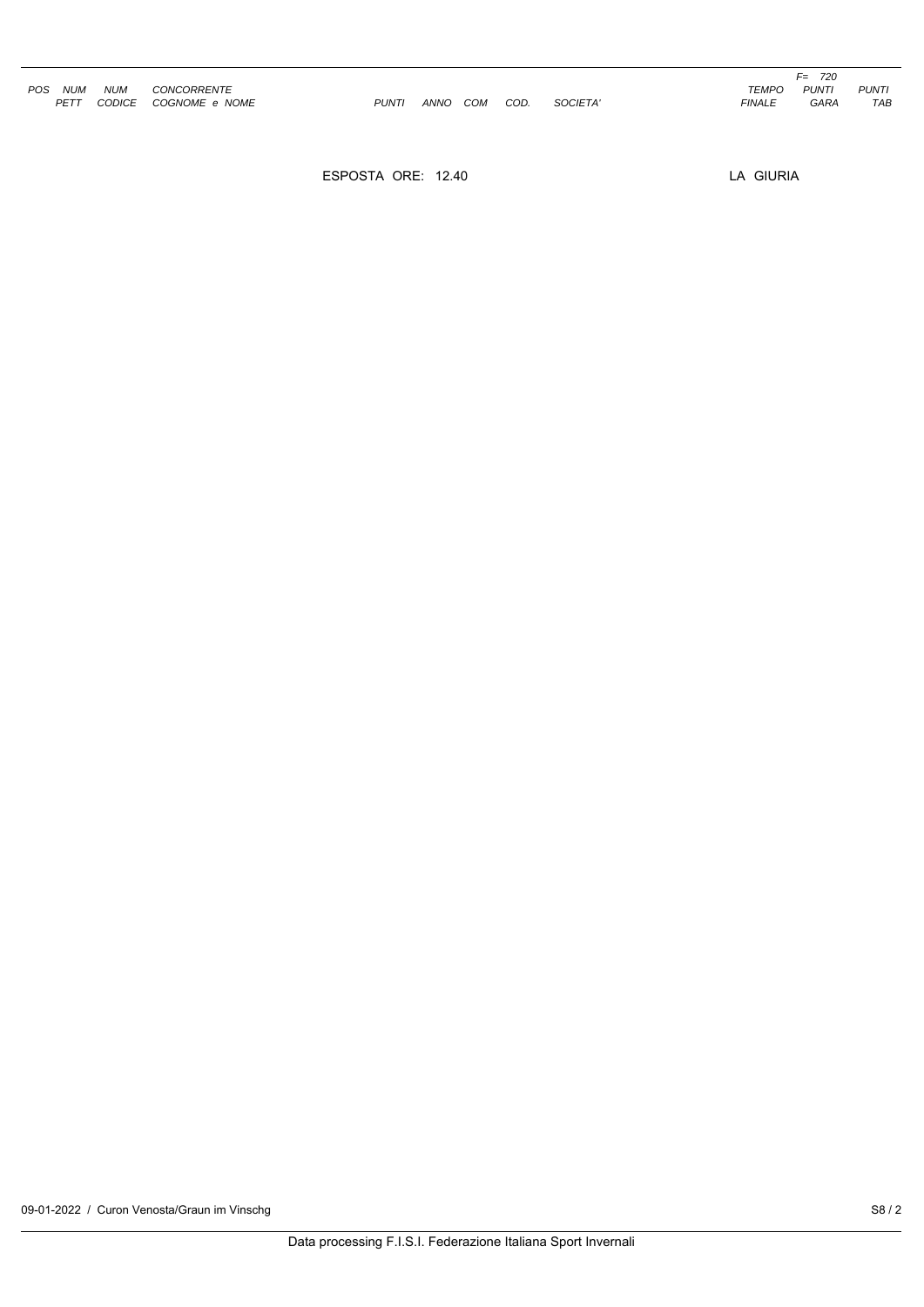|     |            |               |                    |              |             |            |      |          |               | 720<br>F= . |
|-----|------------|---------------|--------------------|--------------|-------------|------------|------|----------|---------------|-------------|
| POS | <b>NUM</b> | <b>NUM</b>    | <b>CONCORRENTE</b> |              |             |            |      |          | <b>TEMPO</b>  | <b>PUNT</b> |
|     | PETT       | <b>CODICE</b> | COGNOME e NOME     | <b>PUNTI</b> | <b>ANNO</b> | <b>COM</b> | COD. | SOCIETA' | <b>FINALE</b> | <b>GARA</b> |

ESPOSTA ORE: 12.40

LA GIURIA

PUNTI<br>TAB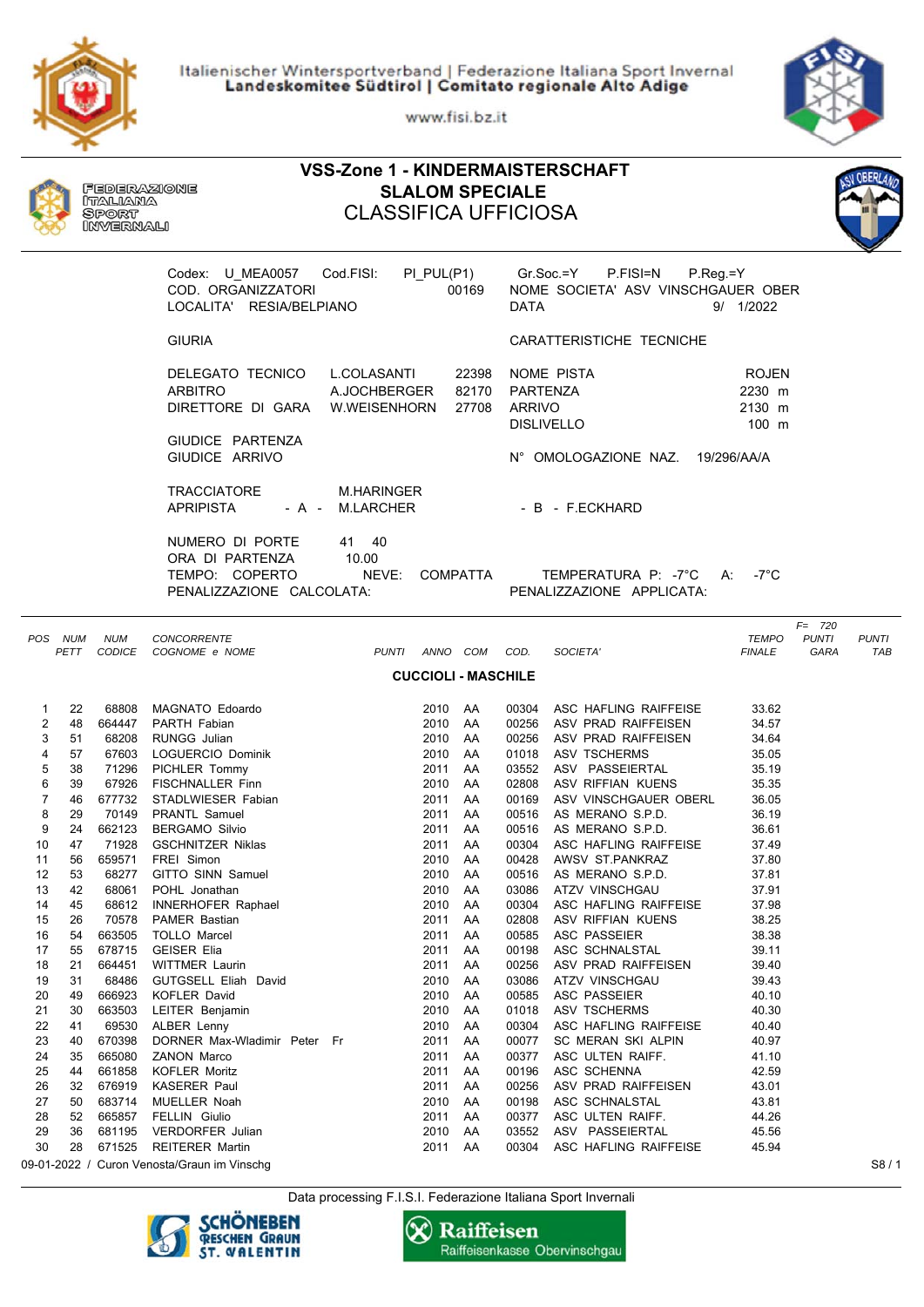Italienischer Wintersportverband | Federazione Italiana Sport Invernal<br>Landeskomitee Südtirol | Comitato regionale Alto Adige

www.fisi.bz.it

**VSS-Zone 1 - KINDERMAISTERSCHAFT**



|                                                                                                                                                                                      |                                                                                                                                                                            | Italiana<br>Sport<br>INVERNALI                                                                                                                                                                                   | Federazione                                                                                                                                                                                                                                                                                                                                                                                                                                                                                                                                                                                                                                                          | <b>SLALOM SPECIALE</b><br><b>CLASSIFICA UFFICIOSA</b> |                                                                                                                                                                                                                                                                                            |                                                                |                                                                                                                                                                |                                                                                                                                                                                                                                                                                                                                                                                                                                                                                                                                                                                                                                                                                          |                                                                                                                                                                                                                                                                            |                                   |                     |
|--------------------------------------------------------------------------------------------------------------------------------------------------------------------------------------|----------------------------------------------------------------------------------------------------------------------------------------------------------------------------|------------------------------------------------------------------------------------------------------------------------------------------------------------------------------------------------------------------|----------------------------------------------------------------------------------------------------------------------------------------------------------------------------------------------------------------------------------------------------------------------------------------------------------------------------------------------------------------------------------------------------------------------------------------------------------------------------------------------------------------------------------------------------------------------------------------------------------------------------------------------------------------------|-------------------------------------------------------|--------------------------------------------------------------------------------------------------------------------------------------------------------------------------------------------------------------------------------------------------------------------------------------------|----------------------------------------------------------------|----------------------------------------------------------------------------------------------------------------------------------------------------------------|------------------------------------------------------------------------------------------------------------------------------------------------------------------------------------------------------------------------------------------------------------------------------------------------------------------------------------------------------------------------------------------------------------------------------------------------------------------------------------------------------------------------------------------------------------------------------------------------------------------------------------------------------------------------------------------|----------------------------------------------------------------------------------------------------------------------------------------------------------------------------------------------------------------------------------------------------------------------------|-----------------------------------|---------------------|
|                                                                                                                                                                                      |                                                                                                                                                                            |                                                                                                                                                                                                                  | Codex: U MEA0057<br>COD. ORGANIZZATORI<br>LOCALITA' RESIA/BELPIANO                                                                                                                                                                                                                                                                                                                                                                                                                                                                                                                                                                                                   | Cod.FISI:                                             | PI_PUL(P1)                                                                                                                                                                                                                                                                                 | 00169                                                          | <b>DATA</b>                                                                                                                                                    | $Gr.Soc = Y$<br>P.FISI=N<br>P.Reg.=Y<br>NOME SOCIETA' ASV VINSCHGAUER OBER                                                                                                                                                                                                                                                                                                                                                                                                                                                                                                                                                                                                               | 9/ 1/2022                                                                                                                                                                                                                                                                  |                                   |                     |
|                                                                                                                                                                                      |                                                                                                                                                                            |                                                                                                                                                                                                                  | <b>GIURIA</b>                                                                                                                                                                                                                                                                                                                                                                                                                                                                                                                                                                                                                                                        |                                                       |                                                                                                                                                                                                                                                                                            |                                                                |                                                                                                                                                                | CARATTERISTICHE TECNICHE                                                                                                                                                                                                                                                                                                                                                                                                                                                                                                                                                                                                                                                                 |                                                                                                                                                                                                                                                                            |                                   |                     |
|                                                                                                                                                                                      |                                                                                                                                                                            |                                                                                                                                                                                                                  | DELEGATO TECNICO<br><b>ARBITRO</b><br>DIRETTORE DI GARA W.WEISENHORN                                                                                                                                                                                                                                                                                                                                                                                                                                                                                                                                                                                                 | L.COLASANTI<br>A.JOCHBERGER                           |                                                                                                                                                                                                                                                                                            | 22398<br>82170<br>27708                                        | PARTENZA<br><b>ARRIVO</b>                                                                                                                                      | <b>NOME PISTA</b><br><b>DISLIVELLO</b>                                                                                                                                                                                                                                                                                                                                                                                                                                                                                                                                                                                                                                                   | <b>ROJEN</b><br>2230 m<br>2130 m<br>$100 \text{ m}$                                                                                                                                                                                                                        |                                   |                     |
|                                                                                                                                                                                      |                                                                                                                                                                            |                                                                                                                                                                                                                  | GIUDICE PARTENZA<br>GIUDICE ARRIVO                                                                                                                                                                                                                                                                                                                                                                                                                                                                                                                                                                                                                                   |                                                       |                                                                                                                                                                                                                                                                                            |                                                                |                                                                                                                                                                | N° OMOLOGAZIONE NAZ. 19/296/AA/A                                                                                                                                                                                                                                                                                                                                                                                                                                                                                                                                                                                                                                                         |                                                                                                                                                                                                                                                                            |                                   |                     |
|                                                                                                                                                                                      |                                                                                                                                                                            |                                                                                                                                                                                                                  | <b>TRACCIATORE</b><br><b>APRIPISTA</b>                                                                                                                                                                                                                                                                                                                                                                                                                                                                                                                                                                                                                               | M.HARINGER<br>- A - M.LARCHER                         |                                                                                                                                                                                                                                                                                            |                                                                |                                                                                                                                                                | - B - F.ECKHARD                                                                                                                                                                                                                                                                                                                                                                                                                                                                                                                                                                                                                                                                          |                                                                                                                                                                                                                                                                            |                                   |                     |
|                                                                                                                                                                                      |                                                                                                                                                                            |                                                                                                                                                                                                                  | NUMERO DI PORTE<br>ORA DI PARTENZA<br>TEMPO: COPERTO<br>PENALIZZAZIONE CALCOLATA:                                                                                                                                                                                                                                                                                                                                                                                                                                                                                                                                                                                    | 41 40<br>10.00<br>NEVE:                               |                                                                                                                                                                                                                                                                                            | <b>COMPATTA</b>                                                |                                                                                                                                                                | TEMPERATURA P: -7°C<br>PENALIZZAZIONE APPLICATA:                                                                                                                                                                                                                                                                                                                                                                                                                                                                                                                                                                                                                                         | -7°C<br>A:                                                                                                                                                                                                                                                                 |                                   |                     |
|                                                                                                                                                                                      | POS NUM                                                                                                                                                                    | <b>NUM</b>                                                                                                                                                                                                       | <b>CONCORRENTE</b><br>PETT CODICE COGNOME e NOME                                                                                                                                                                                                                                                                                                                                                                                                                                                                                                                                                                                                                     | PUNTI ANNO COM                                        |                                                                                                                                                                                                                                                                                            |                                                                | COD.                                                                                                                                                           | SOCIETA'                                                                                                                                                                                                                                                                                                                                                                                                                                                                                                                                                                                                                                                                                 | <b>TEMPO</b><br><b>FINALE</b>                                                                                                                                                                                                                                              | $F = 720$<br><b>PUNTI</b><br>GARA | <b>PUNTI</b><br>TAB |
|                                                                                                                                                                                      |                                                                                                                                                                            |                                                                                                                                                                                                                  |                                                                                                                                                                                                                                                                                                                                                                                                                                                                                                                                                                                                                                                                      |                                                       |                                                                                                                                                                                                                                                                                            | <b>CUCCIOLI - MASCHILE</b>                                     |                                                                                                                                                                |                                                                                                                                                                                                                                                                                                                                                                                                                                                                                                                                                                                                                                                                                          |                                                                                                                                                                                                                                                                            |                                   |                     |
| 1<br>2<br>3<br>4<br>5<br>6<br>$\overline{7}$<br>8<br>9<br>10<br>11<br>12<br>13<br>14<br>15<br>16<br>17<br>18<br>19<br>20<br>21<br>22<br>23<br>24<br>25<br>26<br>27<br>28<br>29<br>30 | 22<br>48<br>51<br>57<br>38<br>39<br>46<br>29<br>24<br>47<br>56<br>53<br>42<br>45<br>26<br>54<br>55<br>21<br>31<br>49<br>30<br>41<br>40<br>35<br>44<br>32<br>50<br>52<br>36 | 68808<br>664447<br>68208<br>67603<br>677732<br>71928<br>659571<br>68061<br>70578<br>663505<br>678715<br>664451<br>68486<br>666923<br>663503<br>69530<br>670398<br>665080<br>661858<br>676919<br>683714<br>665857 | MAGNATO Edoardo<br>PARTH Fabian<br><b>RUNGG Julian</b><br>LOGUERCIO Dominik<br>71296 PICHLER Tommy<br>67926 FISCHNALLER Finn<br>STADLWIESER Fabian<br>70149 PRANTL Samuel<br>662123 BERGAMO Silvio<br><b>GSCHNITZER Niklas</b><br>FREI Simon<br>68277 GITTO SINN Samuel<br>POHL Jonathan<br>68612 INNERHOFER Raphael<br>PAMER Bastian<br><b>TOLLO Marcel</b><br><b>GEISER Elia</b><br><b>WITTMER Laurin</b><br>GUTGSELL Eliah David<br><b>KOFLER David</b><br>LEITER Benjamin<br><b>ALBER Lenny</b><br>DORNER Max-Wladimir Peter Fr<br><b>ZANON Marco</b><br><b>KOFLER Moritz</b><br>KASERER Paul<br>MUELLER Noah<br><b>FELLIN Giulio</b><br>681195 VERDORFER Julian |                                                       | 2010 AA<br>2010 AA<br>2010 AA<br>2010 AA<br>2011<br>2010 AA<br>2011 AA<br>2011<br>2011 AA<br>2011 AA<br>2010 AA<br>2010 AA<br>2010 AA<br>2010 AA<br>2011<br>2011<br>2011<br>2011 AA<br>2010<br>2010 AA<br>2010<br>2010<br>2011<br>2011<br>2011 AA<br>2011<br>2010 AA<br>2011 AA<br>2010 AA | AA<br>AA<br>AA<br>AA<br>AA<br>AA<br>AA<br>AA<br>AA<br>AA<br>AA | 03086<br>00304<br>02808<br>00585<br>00198<br>00256<br>03086<br>00585<br>01018<br>00304<br>00077<br>00377<br>00196<br>00256<br>00198<br>00377<br>03552<br>00304 | 00304 ASC HAFLING RAIFFEISE<br>00256 ASV PRAD RAIFFEISEN<br>00256 ASV PRAD RAIFFEISEN<br>01018 ASV TSCHERMS<br>03552 ASV PASSEIERTAL<br>02808 ASV RIFFIAN KUENS<br>00169 ASV VINSCHGAUER OBERL<br>00516 AS MERANO S.P.D.<br>00516 AS MERANO S.P.D.<br>00304 ASC HAFLING RAIFFEISE<br>00428 AWSV ST.PANKRAZ<br>00516 AS MERANO S.P.D.<br>ATZV VINSCHGAU<br>ASC HAFLING RAIFFEISE<br>ASV RIFFIAN KUENS<br><b>ASC PASSEIER</b><br>ASC SCHNALSTAL<br>ASV PRAD RAIFFEISEN<br>ATZV VINSCHGAU<br>ASC PASSEIER<br>ASV TSCHERMS<br>ASC HAFLING RAIFFEISE<br>SC MERAN SKI ALPIN<br>ASC ULTEN RAIFF.<br>ASC SCHENNA<br>ASV PRAD RAIFFEISEN<br>ASC SCHNALSTAL<br>ASC ULTEN RAIFF.<br>ASV PASSEIERTAL | 33.62<br>34.57<br>34.64<br>35.05<br>35.19<br>35.35<br>36.05<br>36.19<br>36.61<br>37.49<br>37.80<br>37.81<br>37.91<br>37.98<br>38.25<br>38.38<br>39.11<br>39.40<br>39.43<br>40.10<br>40.30<br>40.40<br>40.97<br>41.10<br>42.59<br>43.01<br>43.81<br>44.26<br>45.56<br>45.94 |                                   |                     |
|                                                                                                                                                                                      | 28                                                                                                                                                                         |                                                                                                                                                                                                                  | 671525 REITERER Martin<br>09-01-2022 / Curon Venosta/Graun im Vinschg                                                                                                                                                                                                                                                                                                                                                                                                                                                                                                                                                                                                |                                                       | 2011 AA                                                                                                                                                                                                                                                                                    |                                                                |                                                                                                                                                                | ASC HAFLING RAIFFEISE                                                                                                                                                                                                                                                                                                                                                                                                                                                                                                                                                                                                                                                                    |                                                                                                                                                                                                                                                                            |                                   | S8/1                |

Data processing F.I.S.I. Federazione Italiana Sport Invernali



**X** Raiffeisen Raiffeisenkasse Obervinschgau